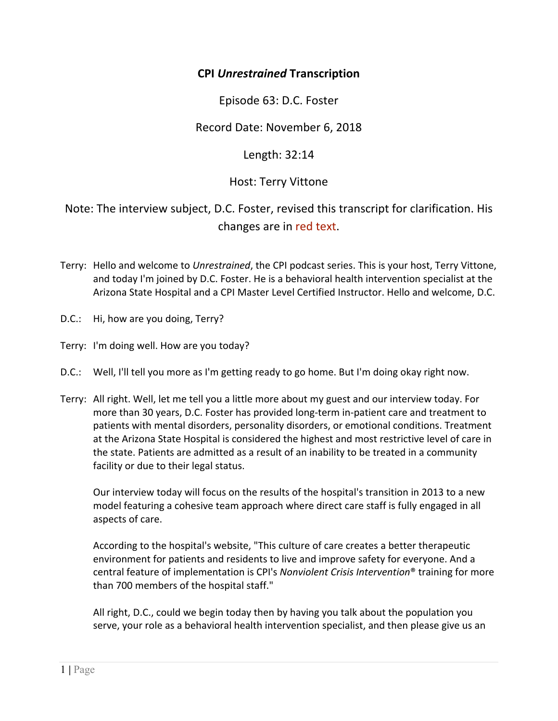## **CPI** *Unrestrained* **Transcription**

Episode 63: D.C. Foster

Record Date: November 6, 2018

Length: 32:14

## Host: Terry Vittone

Note: The interview subject, D.C. Foster, revised this transcript for clarification. His changes are in red text.

- Terry: Hello and welcome to *Unrestrained*, the CPI podcast series. This is your host, Terry Vittone, and today I'm joined by D.C. Foster. He is a behavioral health intervention specialist at the Arizona State Hospital and a CPI Master Level Certified Instructor. Hello and welcome, D.C.
- D.C.: Hi, how are you doing, Terry?
- Terry: I'm doing well. How are you today?
- D.C.: Well, I'll tell you more as I'm getting ready to go home. But I'm doing okay right now.
- Terry: All right. Well, let me tell you a little more about my guest and our interview today. For more than 30 years, D.C. Foster has provided long‐term in‐patient care and treatment to patients with mental disorders, personality disorders, or emotional conditions. Treatment at the Arizona State Hospital is considered the highest and most restrictive level of care in the state. Patients are admitted as a result of an inability to be treated in a community facility or due to their legal status.

Our interview today will focus on the results of the hospital's transition in 2013 to a new model featuring a cohesive team approach where direct care staff is fully engaged in all aspects of care.

According to the hospital's website, "This culture of care creates a better therapeutic environment for patients and residents to live and improve safety for everyone. And a central feature of implementation is CPI's *Nonviolent Crisis Intervention*® training for more than 700 members of the hospital staff."

All right, D.C., could we begin today then by having you talk about the population you serve, your role as a behavioral health intervention specialist, and then please give us an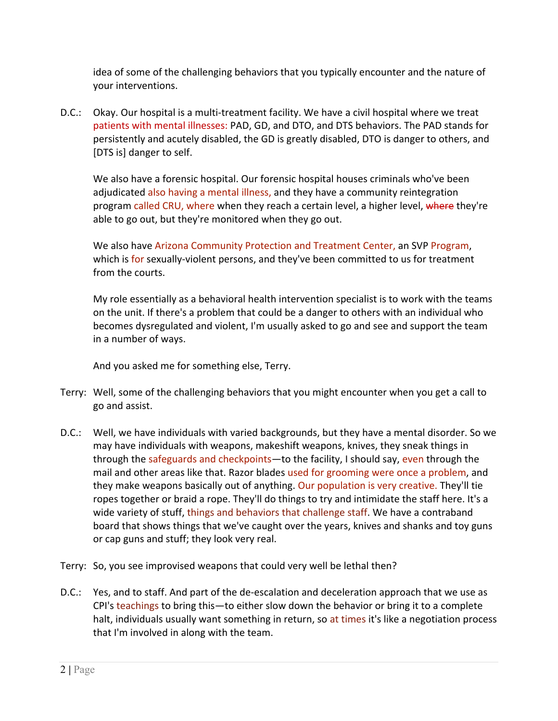idea of some of the challenging behaviors that you typically encounter and the nature of your interventions.

D.C.: Okay. Our hospital is a multi-treatment facility. We have a civil hospital where we treat patients with mental illnesses: PAD, GD, and DTO, and DTS behaviors. The PAD stands for persistently and acutely disabled, the GD is greatly disabled, DTO is danger to others, and [DTS is] danger to self.

We also have a forensic hospital. Our forensic hospital houses criminals who've been adjudicated also having a mental illness, and they have a community reintegration program called CRU, where when they reach a certain level, a higher level, where they're able to go out, but they're monitored when they go out.

We also have Arizona Community Protection and Treatment Center, an SVP Program, which is for sexually-violent persons, and they've been committed to us for treatment from the courts.

My role essentially as a behavioral health intervention specialist is to work with the teams on the unit. If there's a problem that could be a danger to others with an individual who becomes dysregulated and violent, I'm usually asked to go and see and support the team in a number of ways.

And you asked me for something else, Terry.

- Terry: Well, some of the challenging behaviors that you might encounter when you get a call to go and assist.
- D.C.: Well, we have individuals with varied backgrounds, but they have a mental disorder. So we may have individuals with weapons, makeshift weapons, knives, they sneak things in through the safeguards and checkpoints—to the facility, I should say, even through the mail and other areas like that. Razor blades used for grooming were once a problem, and they make weapons basically out of anything. Our population is very creative. They'll tie ropes together or braid a rope. They'll do things to try and intimidate the staff here. It's a wide variety of stuff, things and behaviors that challenge staff. We have a contraband board that shows things that we've caught over the years, knives and shanks and toy guns or cap guns and stuff; they look very real.
- Terry: So, you see improvised weapons that could very well be lethal then?
- D.C.: Yes, and to staff. And part of the de‐escalation and deceleration approach that we use as CPI's teachings to bring this—to either slow down the behavior or bring it to a complete halt, individuals usually want something in return, so at times it's like a negotiation process that I'm involved in along with the team.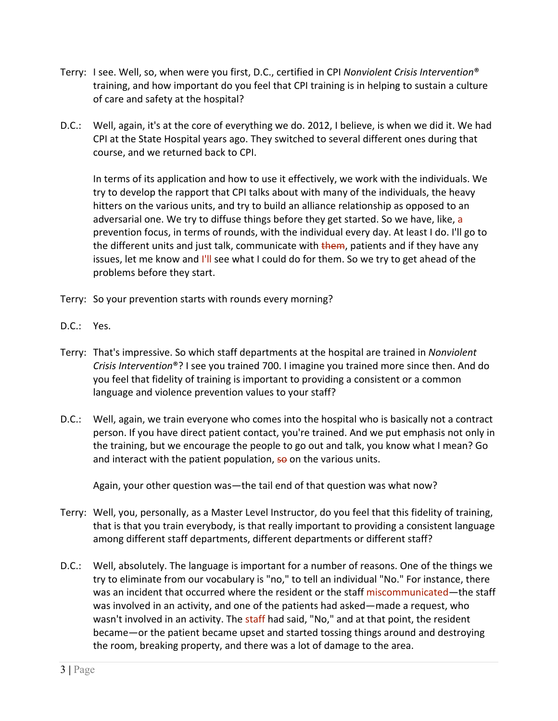- Terry: I see. Well, so, when were you first, D.C., certified in CPI *Nonviolent Crisis Intervention*® training, and how important do you feel that CPI training is in helping to sustain a culture of care and safety at the hospital?
- D.C.: Well, again, it's at the core of everything we do. 2012, I believe, is when we did it. We had CPI at the State Hospital years ago. They switched to several different ones during that course, and we returned back to CPI.

In terms of its application and how to use it effectively, we work with the individuals. We try to develop the rapport that CPI talks about with many of the individuals, the heavy hitters on the various units, and try to build an alliance relationship as opposed to an adversarial one. We try to diffuse things before they get started. So we have, like, a prevention focus, in terms of rounds, with the individual every day. At least I do. I'll go to the different units and just talk, communicate with them, patients and if they have any issues, let me know and I'll see what I could do for them. So we try to get ahead of the problems before they start.

- Terry: So your prevention starts with rounds every morning?
- D.C.: Yes.
- Terry: That's impressive. So which staff departments at the hospital are trained in *Nonviolent Crisis Intervention*®? I see you trained 700. I imagine you trained more since then. And do you feel that fidelity of training is important to providing a consistent or a common language and violence prevention values to your staff?
- D.C.: Well, again, we train everyone who comes into the hospital who is basically not a contract person. If you have direct patient contact, you're trained. And we put emphasis not only in the training, but we encourage the people to go out and talk, you know what I mean? Go and interact with the patient population, so on the various units.

Again, your other question was—the tail end of that question was what now?

- Terry: Well, you, personally, as a Master Level Instructor, do you feel that this fidelity of training, that is that you train everybody, is that really important to providing a consistent language among different staff departments, different departments or different staff?
- D.C.: Well, absolutely. The language is important for a number of reasons. One of the things we try to eliminate from our vocabulary is "no," to tell an individual "No." For instance, there was an incident that occurred where the resident or the staff miscommunicated—the staff was involved in an activity, and one of the patients had asked—made a request, who wasn't involved in an activity. The staff had said, "No," and at that point, the resident became—or the patient became upset and started tossing things around and destroying the room, breaking property, and there was a lot of damage to the area.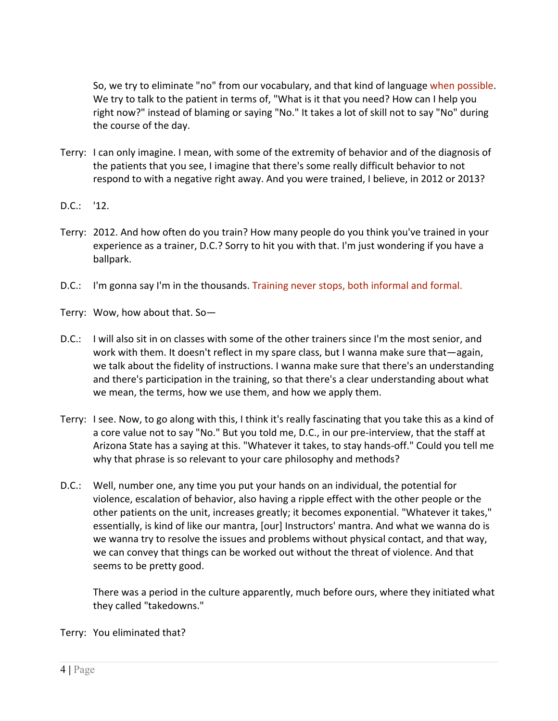So, we try to eliminate "no" from our vocabulary, and that kind of language when possible. We try to talk to the patient in terms of, "What is it that you need? How can I help you right now?" instead of blaming or saying "No." It takes a lot of skill not to say "No" during the course of the day.

- Terry: I can only imagine. I mean, with some of the extremity of behavior and of the diagnosis of the patients that you see, I imagine that there's some really difficult behavior to not respond to with a negative right away. And you were trained, I believe, in 2012 or 2013?
- D.C.: '12.
- Terry: 2012. And how often do you train? How many people do you think you've trained in your experience as a trainer, D.C.? Sorry to hit you with that. I'm just wondering if you have a ballpark.
- D.C.: I'm gonna say I'm in the thousands. Training never stops, both informal and formal.
- Terry: Wow, how about that. So—
- D.C.: I will also sit in on classes with some of the other trainers since I'm the most senior, and work with them. It doesn't reflect in my spare class, but I wanna make sure that—again, we talk about the fidelity of instructions. I wanna make sure that there's an understanding and there's participation in the training, so that there's a clear understanding about what we mean, the terms, how we use them, and how we apply them.
- Terry: I see. Now, to go along with this, I think it's really fascinating that you take this as a kind of a core value not to say "No." But you told me, D.C., in our pre‐interview, that the staff at Arizona State has a saying at this. "Whatever it takes, to stay hands‐off." Could you tell me why that phrase is so relevant to your care philosophy and methods?
- D.C.: Well, number one, any time you put your hands on an individual, the potential for violence, escalation of behavior, also having a ripple effect with the other people or the other patients on the unit, increases greatly; it becomes exponential. "Whatever it takes," essentially, is kind of like our mantra, [our] Instructors' mantra. And what we wanna do is we wanna try to resolve the issues and problems without physical contact, and that way, we can convey that things can be worked out without the threat of violence. And that seems to be pretty good.

There was a period in the culture apparently, much before ours, where they initiated what they called "takedowns."

Terry: You eliminated that?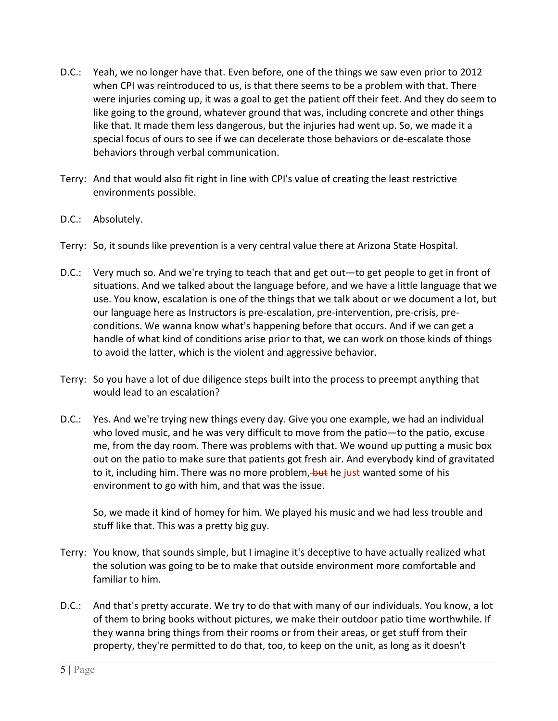- D.C.: Yeah, we no longer have that. Even before, one of the things we saw even prior to 2012 when CPI was reintroduced to us, is that there seems to be a problem with that. There were injuries coming up, it was a goal to get the patient off their feet. And they do seem to like going to the ground, whatever ground that was, including concrete and other things like that. It made them less dangerous, but the injuries had went up. So, we made it a special focus of ours to see if we can decelerate those behaviors or de‐escalate those behaviors through verbal communication.
- Terry: And that would also fit right in line with CPI's value of creating the least restrictive environments possible.
- D.C.: Absolutely.
- Terry: So, it sounds like prevention is a very central value there at Arizona State Hospital.
- D.C.: Very much so. And we're trying to teach that and get out—to get people to get in front of situations. And we talked about the language before, and we have a little language that we use. You know, escalation is one of the things that we talk about or we document a lot, but our language here as Instructors is pre‐escalation, pre‐intervention, pre‐crisis, pre‐ conditions. We wanna know what's happening before that occurs. And if we can get a handle of what kind of conditions arise prior to that, we can work on those kinds of things to avoid the latter, which is the violent and aggressive behavior.
- Terry: So you have a lot of due diligence steps built into the process to preempt anything that would lead to an escalation?
- D.C.: Yes. And we're trying new things every day. Give you one example, we had an individual who loved music, and he was very difficult to move from the patio—to the patio, excuse me, from the day room. There was problems with that. We wound up putting a music box out on the patio to make sure that patients got fresh air. And everybody kind of gravitated to it, including him. There was no more problem, but he just wanted some of his environment to go with him, and that was the issue.

So, we made it kind of homey for him. We played his music and we had less trouble and stuff like that. This was a pretty big guy.

- Terry: You know, that sounds simple, but I imagine it's deceptive to have actually realized what the solution was going to be to make that outside environment more comfortable and familiar to him.
- D.C.: And that's pretty accurate. We try to do that with many of our individuals. You know, a lot of them to bring books without pictures, we make their outdoor patio time worthwhile. If they wanna bring things from their rooms or from their areas, or get stuff from their property, they're permitted to do that, too, to keep on the unit, as long as it doesn't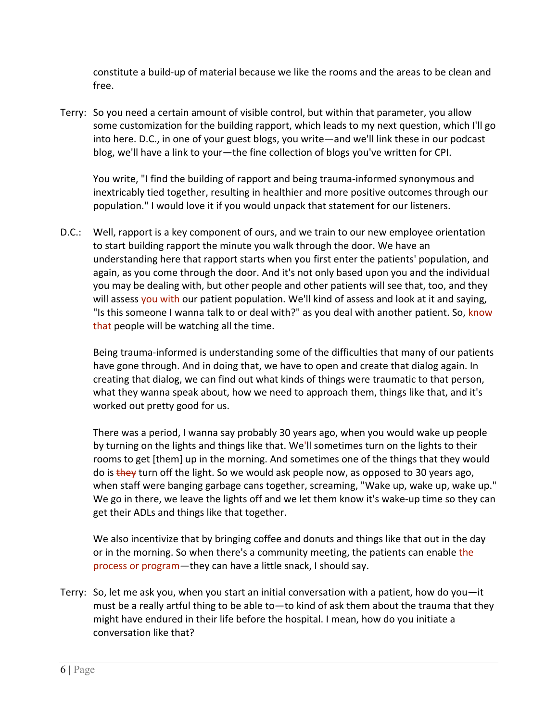constitute a build‐up of material because we like the rooms and the areas to be clean and free.

Terry: So you need a certain amount of visible control, but within that parameter, you allow some customization for the building rapport, which leads to my next question, which I'll go into here. D.C., in one of your guest blogs, you write—and we'll link these in our podcast blog, we'll have a link to your—the fine collection of blogs you've written for CPI.

You write, "I find the building of rapport and being trauma‐informed synonymous and inextricably tied together, resulting in healthier and more positive outcomes through our population." I would love it if you would unpack that statement for our listeners.

D.C.: Well, rapport is a key component of ours, and we train to our new employee orientation to start building rapport the minute you walk through the door. We have an understanding here that rapport starts when you first enter the patients' population, and again, as you come through the door. And it's not only based upon you and the individual you may be dealing with, but other people and other patients will see that, too, and they will assess you with our patient population. We'll kind of assess and look at it and saying, "Is this someone I wanna talk to or deal with?" as you deal with another patient. So, know that people will be watching all the time.

Being trauma‐informed is understanding some of the difficulties that many of our patients have gone through. And in doing that, we have to open and create that dialog again. In creating that dialog, we can find out what kinds of things were traumatic to that person, what they wanna speak about, how we need to approach them, things like that, and it's worked out pretty good for us.

There was a period, I wanna say probably 30 years ago, when you would wake up people by turning on the lights and things like that. We'll sometimes turn on the lights to their rooms to get [them] up in the morning. And sometimes one of the things that they would do is they turn off the light. So we would ask people now, as opposed to 30 years ago, when staff were banging garbage cans together, screaming, "Wake up, wake up, wake up." We go in there, we leave the lights off and we let them know it's wake-up time so they can get their ADLs and things like that together.

We also incentivize that by bringing coffee and donuts and things like that out in the day or in the morning. So when there's a community meeting, the patients can enable the process or program—they can have a little snack, I should say.

Terry: So, let me ask you, when you start an initial conversation with a patient, how do you—it must be a really artful thing to be able to—to kind of ask them about the trauma that they might have endured in their life before the hospital. I mean, how do you initiate a conversation like that?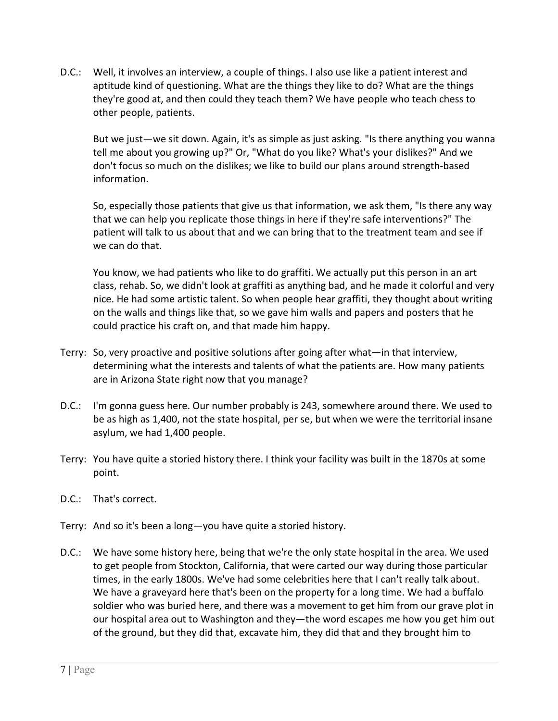D.C.: Well, it involves an interview, a couple of things. I also use like a patient interest and aptitude kind of questioning. What are the things they like to do? What are the things they're good at, and then could they teach them? We have people who teach chess to other people, patients.

But we just—we sit down. Again, it's as simple as just asking. "Is there anything you wanna tell me about you growing up?" Or, "What do you like? What's your dislikes?" And we don't focus so much on the dislikes; we like to build our plans around strength‐based information.

So, especially those patients that give us that information, we ask them, "Is there any way that we can help you replicate those things in here if they're safe interventions?" The patient will talk to us about that and we can bring that to the treatment team and see if we can do that.

You know, we had patients who like to do graffiti. We actually put this person in an art class, rehab. So, we didn't look at graffiti as anything bad, and he made it colorful and very nice. He had some artistic talent. So when people hear graffiti, they thought about writing on the walls and things like that, so we gave him walls and papers and posters that he could practice his craft on, and that made him happy.

- Terry: So, very proactive and positive solutions after going after what—in that interview, determining what the interests and talents of what the patients are. How many patients are in Arizona State right now that you manage?
- D.C.: I'm gonna guess here. Our number probably is 243, somewhere around there. We used to be as high as 1,400, not the state hospital, per se, but when we were the territorial insane asylum, we had 1,400 people.
- Terry: You have quite a storied history there. I think your facility was built in the 1870s at some point.
- D.C.: That's correct.
- Terry: And so it's been a long—you have quite a storied history.
- D.C.: We have some history here, being that we're the only state hospital in the area. We used to get people from Stockton, California, that were carted our way during those particular times, in the early 1800s. We've had some celebrities here that I can't really talk about. We have a graveyard here that's been on the property for a long time. We had a buffalo soldier who was buried here, and there was a movement to get him from our grave plot in our hospital area out to Washington and they—the word escapes me how you get him out of the ground, but they did that, excavate him, they did that and they brought him to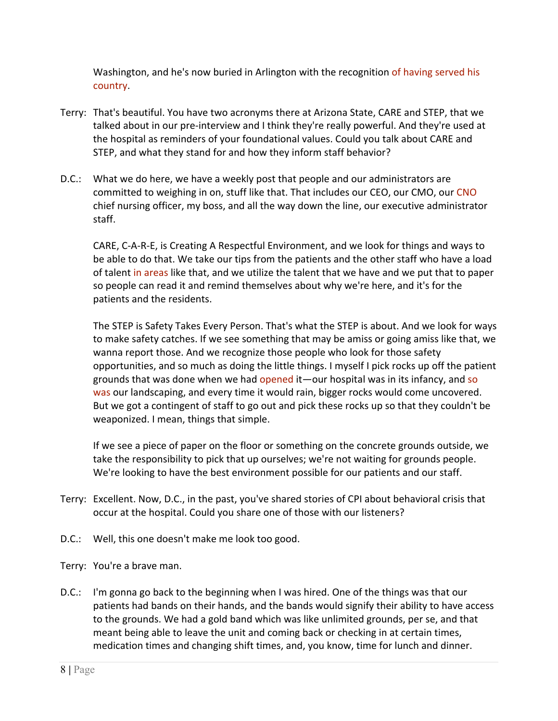Washington, and he's now buried in Arlington with the recognition of having served his country.

- Terry: That's beautiful. You have two acronyms there at Arizona State, CARE and STEP, that we talked about in our pre‐interview and I think they're really powerful. And they're used at the hospital as reminders of your foundational values. Could you talk about CARE and STEP, and what they stand for and how they inform staff behavior?
- D.C.: What we do here, we have a weekly post that people and our administrators are committed to weighing in on, stuff like that. That includes our CEO, our CMO, our CNO chief nursing officer, my boss, and all the way down the line, our executive administrator staff.

CARE, C‐A‐R‐E, is Creating A Respectful Environment, and we look for things and ways to be able to do that. We take our tips from the patients and the other staff who have a load of talent in areas like that, and we utilize the talent that we have and we put that to paper so people can read it and remind themselves about why we're here, and it's for the patients and the residents.

The STEP is Safety Takes Every Person. That's what the STEP is about. And we look for ways to make safety catches. If we see something that may be amiss or going amiss like that, we wanna report those. And we recognize those people who look for those safety opportunities, and so much as doing the little things. I myself I pick rocks up off the patient grounds that was done when we had opened it—our hospital was in its infancy, and so was our landscaping, and every time it would rain, bigger rocks would come uncovered. But we got a contingent of staff to go out and pick these rocks up so that they couldn't be weaponized. I mean, things that simple.

If we see a piece of paper on the floor or something on the concrete grounds outside, we take the responsibility to pick that up ourselves; we're not waiting for grounds people. We're looking to have the best environment possible for our patients and our staff.

- Terry: Excellent. Now, D.C., in the past, you've shared stories of CPI about behavioral crisis that occur at the hospital. Could you share one of those with our listeners?
- D.C.: Well, this one doesn't make me look too good.
- Terry: You're a brave man.
- D.C.: I'm gonna go back to the beginning when I was hired. One of the things was that our patients had bands on their hands, and the bands would signify their ability to have access to the grounds. We had a gold band which was like unlimited grounds, per se, and that meant being able to leave the unit and coming back or checking in at certain times, medication times and changing shift times, and, you know, time for lunch and dinner.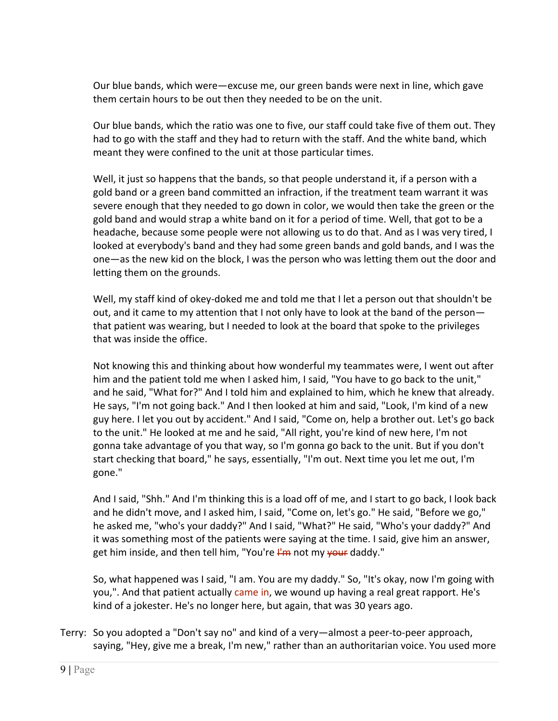Our blue bands, which were—excuse me, our green bands were next in line, which gave them certain hours to be out then they needed to be on the unit.

Our blue bands, which the ratio was one to five, our staff could take five of them out. They had to go with the staff and they had to return with the staff. And the white band, which meant they were confined to the unit at those particular times.

Well, it just so happens that the bands, so that people understand it, if a person with a gold band or a green band committed an infraction, if the treatment team warrant it was severe enough that they needed to go down in color, we would then take the green or the gold band and would strap a white band on it for a period of time. Well, that got to be a headache, because some people were not allowing us to do that. And as I was very tired, I looked at everybody's band and they had some green bands and gold bands, and I was the one—as the new kid on the block, I was the person who was letting them out the door and letting them on the grounds.

Well, my staff kind of okey-doked me and told me that I let a person out that shouldn't be out, and it came to my attention that I not only have to look at the band of the person that patient was wearing, but I needed to look at the board that spoke to the privileges that was inside the office.

Not knowing this and thinking about how wonderful my teammates were, I went out after him and the patient told me when I asked him, I said, "You have to go back to the unit," and he said, "What for?" And I told him and explained to him, which he knew that already. He says, "I'm not going back." And I then looked at him and said, "Look, I'm kind of a new guy here. I let you out by accident." And I said, "Come on, help a brother out. Let's go back to the unit." He looked at me and he said, "All right, you're kind of new here, I'm not gonna take advantage of you that way, so I'm gonna go back to the unit. But if you don't start checking that board," he says, essentially, "I'm out. Next time you let me out, I'm gone."

And I said, "Shh." And I'm thinking this is a load off of me, and I start to go back, I look back and he didn't move, and I asked him, I said, "Come on, let's go." He said, "Before we go," he asked me, "who's your daddy?" And I said, "What?" He said, "Who's your daddy?" And it was something most of the patients were saying at the time. I said, give him an answer, get him inside, and then tell him, "You're  $I<sup>2</sup>m$  not my your daddy."

So, what happened was I said, "I am. You are my daddy." So, "It's okay, now I'm going with you,". And that patient actually came in, we wound up having a real great rapport. He's kind of a jokester. He's no longer here, but again, that was 30 years ago.

Terry: So you adopted a "Don't say no" and kind of a very—almost a peer‐to‐peer approach, saying, "Hey, give me a break, I'm new," rather than an authoritarian voice. You used more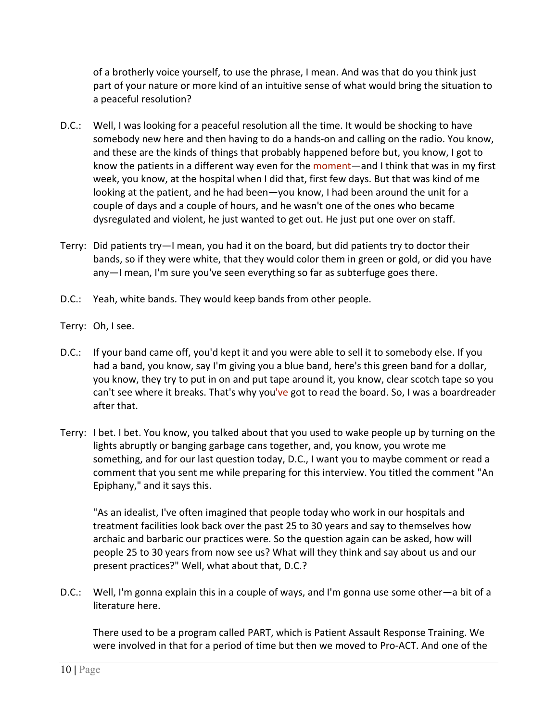of a brotherly voice yourself, to use the phrase, I mean. And was that do you think just part of your nature or more kind of an intuitive sense of what would bring the situation to a peaceful resolution?

- D.C.: Well, I was looking for a peaceful resolution all the time. It would be shocking to have somebody new here and then having to do a hands‐on and calling on the radio. You know, and these are the kinds of things that probably happened before but, you know, I got to know the patients in a different way even for the moment—and I think that was in my first week, you know, at the hospital when I did that, first few days. But that was kind of me looking at the patient, and he had been—you know, I had been around the unit for a couple of days and a couple of hours, and he wasn't one of the ones who became dysregulated and violent, he just wanted to get out. He just put one over on staff.
- Terry: Did patients try—I mean, you had it on the board, but did patients try to doctor their bands, so if they were white, that they would color them in green or gold, or did you have any—I mean, I'm sure you've seen everything so far as subterfuge goes there.
- D.C.: Yeah, white bands. They would keep bands from other people.
- Terry: Oh, I see.
- D.C.: If your band came off, you'd kept it and you were able to sell it to somebody else. If you had a band, you know, say I'm giving you a blue band, here's this green band for a dollar, you know, they try to put in on and put tape around it, you know, clear scotch tape so you can't see where it breaks. That's why you've got to read the board. So, I was a boardreader after that.
- Terry: I bet. I bet. You know, you talked about that you used to wake people up by turning on the lights abruptly or banging garbage cans together, and, you know, you wrote me something, and for our last question today, D.C., I want you to maybe comment or read a comment that you sent me while preparing for this interview. You titled the comment "An Epiphany," and it says this.

"As an idealist, I've often imagined that people today who work in our hospitals and treatment facilities look back over the past 25 to 30 years and say to themselves how archaic and barbaric our practices were. So the question again can be asked, how will people 25 to 30 years from now see us? What will they think and say about us and our present practices?" Well, what about that, D.C.?

D.C.: Well, I'm gonna explain this in a couple of ways, and I'm gonna use some other—a bit of a literature here.

There used to be a program called PART, which is Patient Assault Response Training. We were involved in that for a period of time but then we moved to Pro‐ACT. And one of the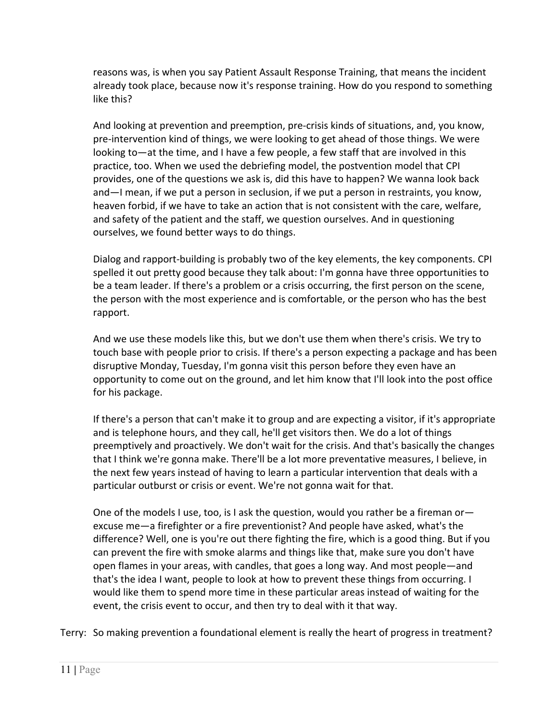reasons was, is when you say Patient Assault Response Training, that means the incident already took place, because now it's response training. How do you respond to something like this?

And looking at prevention and preemption, pre‐crisis kinds of situations, and, you know, pre‐intervention kind of things, we were looking to get ahead of those things. We were looking to—at the time, and I have a few people, a few staff that are involved in this practice, too. When we used the debriefing model, the postvention model that CPI provides, one of the questions we ask is, did this have to happen? We wanna look back and—I mean, if we put a person in seclusion, if we put a person in restraints, you know, heaven forbid, if we have to take an action that is not consistent with the care, welfare, and safety of the patient and the staff, we question ourselves. And in questioning ourselves, we found better ways to do things.

Dialog and rapport-building is probably two of the key elements, the key components. CPI spelled it out pretty good because they talk about: I'm gonna have three opportunities to be a team leader. If there's a problem or a crisis occurring, the first person on the scene, the person with the most experience and is comfortable, or the person who has the best rapport.

And we use these models like this, but we don't use them when there's crisis. We try to touch base with people prior to crisis. If there's a person expecting a package and has been disruptive Monday, Tuesday, I'm gonna visit this person before they even have an opportunity to come out on the ground, and let him know that I'll look into the post office for his package.

If there's a person that can't make it to group and are expecting a visitor, if it's appropriate and is telephone hours, and they call, he'll get visitors then. We do a lot of things preemptively and proactively. We don't wait for the crisis. And that's basically the changes that I think we're gonna make. There'll be a lot more preventative measures, I believe, in the next few years instead of having to learn a particular intervention that deals with a particular outburst or crisis or event. We're not gonna wait for that.

One of the models I use, too, is I ask the question, would you rather be a fireman or excuse me—a firefighter or a fire preventionist? And people have asked, what's the difference? Well, one is you're out there fighting the fire, which is a good thing. But if you can prevent the fire with smoke alarms and things like that, make sure you don't have open flames in your areas, with candles, that goes a long way. And most people—and that's the idea I want, people to look at how to prevent these things from occurring. I would like them to spend more time in these particular areas instead of waiting for the event, the crisis event to occur, and then try to deal with it that way.

Terry: So making prevention a foundational element is really the heart of progress in treatment?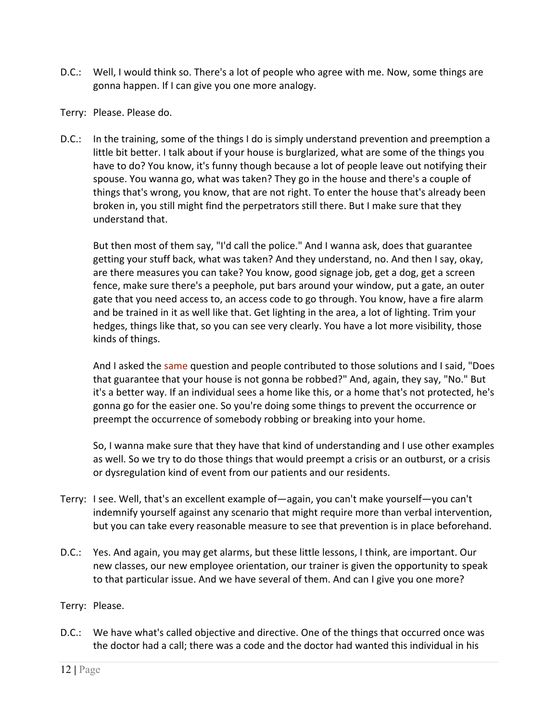- D.C.: Well, I would think so. There's a lot of people who agree with me. Now, some things are gonna happen. If I can give you one more analogy.
- Terry: Please. Please do.
- D.C.: In the training, some of the things I do is simply understand prevention and preemption a little bit better. I talk about if your house is burglarized, what are some of the things you have to do? You know, it's funny though because a lot of people leave out notifying their spouse. You wanna go, what was taken? They go in the house and there's a couple of things that's wrong, you know, that are not right. To enter the house that's already been broken in, you still might find the perpetrators still there. But I make sure that they understand that.

But then most of them say, "I'd call the police." And I wanna ask, does that guarantee getting your stuff back, what was taken? And they understand, no. And then I say, okay, are there measures you can take? You know, good signage job, get a dog, get a screen fence, make sure there's a peephole, put bars around your window, put a gate, an outer gate that you need access to, an access code to go through. You know, have a fire alarm and be trained in it as well like that. Get lighting in the area, a lot of lighting. Trim your hedges, things like that, so you can see very clearly. You have a lot more visibility, those kinds of things.

And I asked the same question and people contributed to those solutions and I said, "Does that guarantee that your house is not gonna be robbed?" And, again, they say, "No." But it's a better way. If an individual sees a home like this, or a home that's not protected, he's gonna go for the easier one. So you're doing some things to prevent the occurrence or preempt the occurrence of somebody robbing or breaking into your home.

So, I wanna make sure that they have that kind of understanding and I use other examples as well. So we try to do those things that would preempt a crisis or an outburst, or a crisis or dysregulation kind of event from our patients and our residents.

- Terry: I see. Well, that's an excellent example of—again, you can't make yourself—you can't indemnify yourself against any scenario that might require more than verbal intervention, but you can take every reasonable measure to see that prevention is in place beforehand.
- D.C.: Yes. And again, you may get alarms, but these little lessons, I think, are important. Our new classes, our new employee orientation, our trainer is given the opportunity to speak to that particular issue. And we have several of them. And can I give you one more?

## Terry: Please.

D.C.: We have what's called objective and directive. One of the things that occurred once was the doctor had a call; there was a code and the doctor had wanted this individual in his